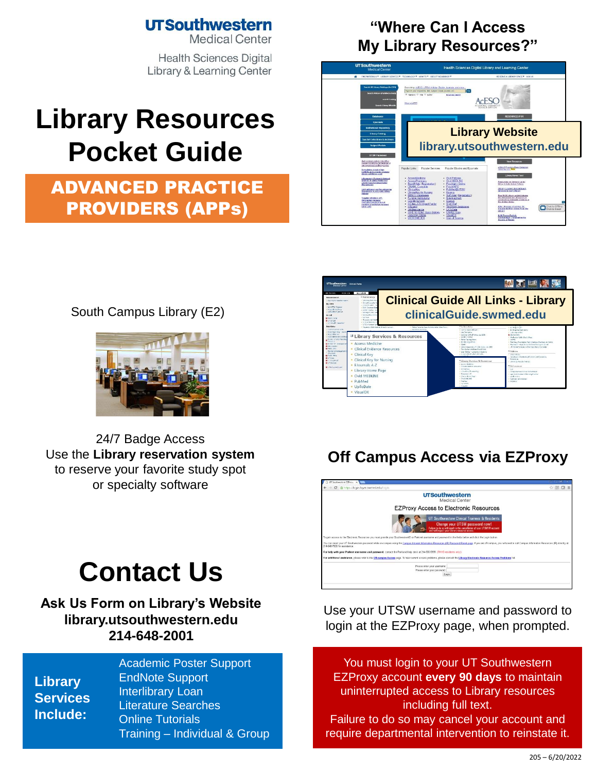### **UTSouthwestern**

**Medical Center** 

**Health Sciences Digital Library & Learning Center** 

# **Library Resources Pocket Guide**

## ADVANCED PRACTICE PROVIDERS (APPs)

#### **"Where Can I Access My Library Resources?"**







24/7 Badge Access Use the **[Library reservation system](https://library.utsouthwestern.edu/main/libreserve.aspx)**  to reserve your favorite study spot [or specialty so](http://library.utsouthwestern.edu/links/linkUsage.cfm?linkID=8439)[ftware](http://library.utsouthwestern.edu/links/linkUsage.cfm?linkID=7124)

## **Contact Us**

#### **[Ask Us For](http://library.utsouthwestern.edu/main/portals/jpull2.aspx?9669)m on [Library's Web](http://library.utsouthwestern.edu/main/portals/jpull2.aspx?6385)site library.utsouthwestern.edu [214-648-2001](http://library.utsouthwestern.edu/)**

**Library Services Include:**

[Academic Poster Support](http://library.utsouthwestern.edu/main/portals/jpull2.aspx?8444) [EndNote Support](http://library.utsouthwestern.edu/main/portals/jpull2.aspx?3246) [Interlibrary Loan](http://library.utsouthwestern.edu/main/portals/jpull2.aspx?1876) [Literature Searches](http://library.utsouthwestern.edu/main/portals/jpull2.aspx?3334) [Online Tutorials](http://library.utsouthwestern.edu/main/portals/jpull2.aspx?3896) Training – [Individual & Grou](http://library.utsouthwestern.edu/main/portals/jpull2.aspx?2755)p



## **Off Campus Access via EZProxy**



Use your UTSW username and password to login at the EZProxy page, when prompted.

You must login to your UT Southwestern EZProxy account **every 90 days** to maintain uninterrupted access to Library resources including full text. Failure to do so may cancel your account and require departmental intervention to reinstate it.